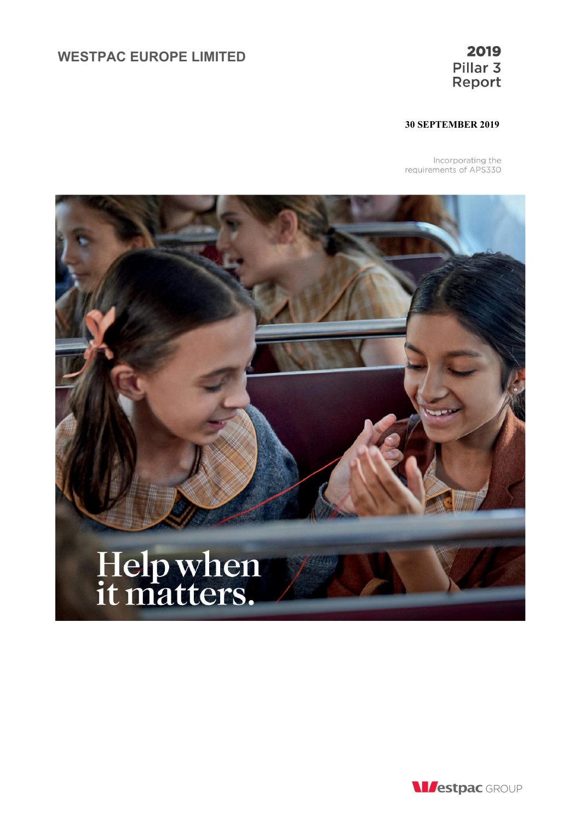# **WESTPAC EUROPE LIMITED**

## **30 SEPTEMBER 2019**

Incorporating the<br>requirements of APS330



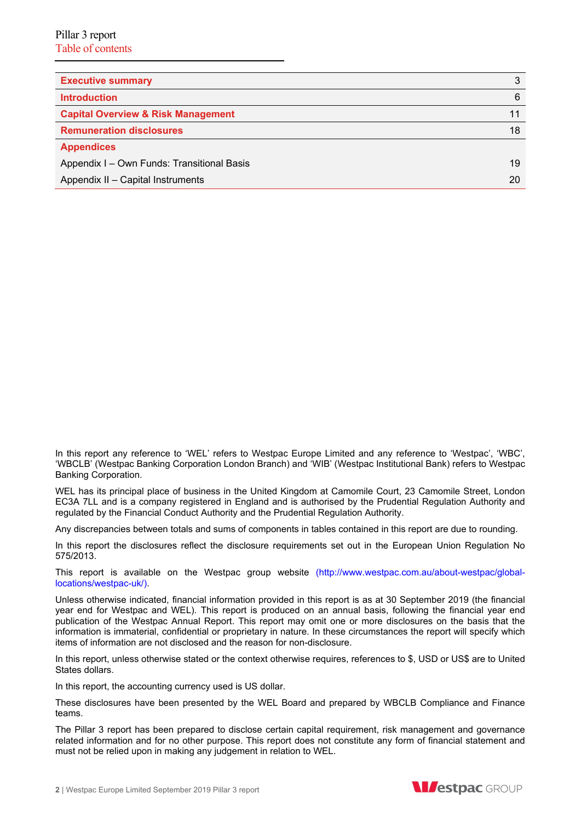| <b>Executive summary</b>                      | 3  |
|-----------------------------------------------|----|
| <b>Introduction</b>                           | 6  |
| <b>Capital Overview &amp; Risk Management</b> |    |
| <b>Remuneration disclosures</b>               | 18 |
| <b>Appendices</b>                             |    |
| Appendix I - Own Funds: Transitional Basis    | 19 |
| Appendix II - Capital Instruments             | 20 |

In this report any reference to 'WEL' refers to Westpac Europe Limited and any reference to 'Westpac', 'WBC', 'WBCLB' (Westpac Banking Corporation London Branch) and 'WIB' (Westpac Institutional Bank) refers to Westpac Banking Corporation.

WEL has its principal place of business in the United Kingdom at Camomile Court, 23 Camomile Street, London EC3A 7LL and is a company registered in England and is authorised by the Prudential Regulation Authority and regulated by the Financial Conduct Authority and the Prudential Regulation Authority.

Any discrepancies between totals and sums of components in tables contained in this report are due to rounding.

In this report the disclosures reflect the disclosure requirements set out in the European Union Regulation No 575/2013.

This report is available on the Westpac group website (http://www.westpac.com.au/about-westpac/globallocations/westpac-uk/).

Unless otherwise indicated, financial information provided in this report is as at 30 September 2019 (the financial year end for Westpac and WEL). This report is produced on an annual basis, following the financial year end publication of the Westpac Annual Report. This report may omit one or more disclosures on the basis that the information is immaterial, confidential or proprietary in nature. In these circumstances the report will specify which items of information are not disclosed and the reason for non-disclosure.

In this report, unless otherwise stated or the context otherwise requires, references to \$, USD or US\$ are to United States dollars.

In this report, the accounting currency used is US dollar.

These disclosures have been presented by the WEL Board and prepared by WBCLB Compliance and Finance teams.

The Pillar 3 report has been prepared to disclose certain capital requirement, risk management and governance related information and for no other purpose. This report does not constitute any form of financial statement and must not be relied upon in making any judgement in relation to WEL.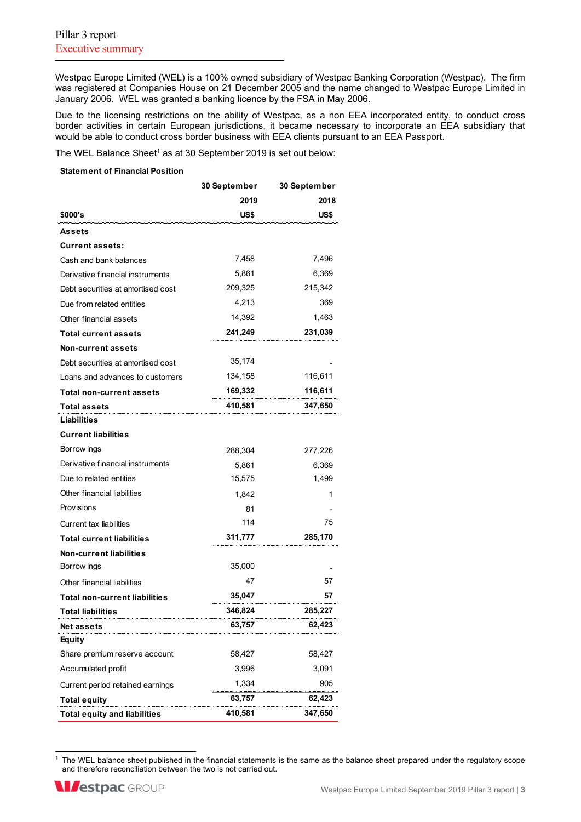Westpac Europe Limited (WEL) is a 100% owned subsidiary of Westpac Banking Corporation (Westpac). The firm was registered at Companies House on 21 December 2005 and the name changed to Westpac Europe Limited in January 2006. WEL was granted a banking licence by the FSA in May 2006.

Due to the licensing restrictions on the ability of Westpac, as a non EEA incorporated entity, to conduct cross border activities in certain European jurisdictions, it became necessary to incorporate an EEA subsidiary that would be able to conduct cross border business with EEA clients pursuant to an EEA Passport.

The WEL Balance Sheet<sup>1</sup> as at 30 September 2019 is set out below:

#### **Statement of Financial Position**

|                                     | 30 September | 30 September |
|-------------------------------------|--------------|--------------|
|                                     | 2019         | 2018         |
| \$000's                             | US\$         | US\$         |
| Assets                              |              |              |
| <b>Current assets:</b>              |              |              |
| Cash and bank balances              | 7,458        | 7,496        |
| Derivative financial instruments    | 5,861        | 6,369        |
| Debt securities at amortised cost   | 209,325      | 215,342      |
| Due from related entities           | 4,213        | 369          |
| Other financial assets              | 14,392       | 1,463        |
| <b>Total current assets</b>         | 241,249      | 231,039      |
| <b>Non-current assets</b>           |              |              |
| Debt securities at amortised cost   | 35,174       |              |
| Loans and advances to customers     | 134,158      | 116,611      |
| Total non-current assets            | 169,332      | 116,611      |
| <b>Total assets</b>                 | 410,581      | 347,650      |
| <b>Liabilities</b>                  |              |              |
| <b>Current liabilities</b>          |              |              |
| Borrow ings                         | 288,304      | 277,226      |
| Derivative financial instruments    | 5,861        | 6,369        |
| Due to related entities             | 15,575       | 1,499        |
| Other financial liabilities         | 1,842        | 1            |
| Provisions                          | 81           |              |
| <b>Current tax liabilities</b>      | 114          | 75           |
| <b>Total current liabilities</b>    | 311,777      | 285,170      |
| <b>Non-current liabilities</b>      |              |              |
| Borrow ings                         | 35,000       |              |
| Other financial liabilities         | 47           | 57           |
| Total non-current liabilities       | 35,047       | 57           |
| <b>Total liabilities</b>            | 346,824      | 285,227      |
| Netassets                           | 63,757       | 62,423       |
| <b>Equity</b>                       |              |              |
| Share premium reserve account       | 58,427       | 58,427       |
| Accumulated profit                  | 3,996        | 3,091        |
| Current period retained earnings    | 1,334        | 905          |
| <b>Total equity</b>                 | 63,757       | 62,423       |
| <b>Total equity and liabilities</b> | 410,581      | 347,650      |

<sup>&</sup>lt;sup>1</sup> The WEL balance sheet published in the financial statements is the same as the balance sheet prepared under the regulatory scope and therefore reconciliation between the two is not carried out.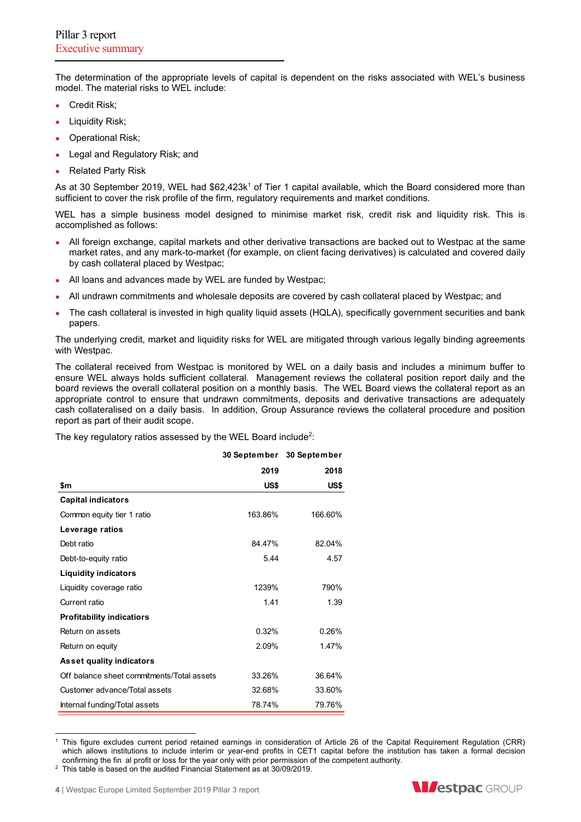The determination of the appropriate levels of capital is dependent on the risks associated with WEL's business model. The material risks to WEL include:

- Credit Risk:
- Liquidity Risk;
- Operational Risk;
- Legal and Regulatory Risk; and
- Related Party Risk

As at 30 September 2019, WEL had \$62,423k<sup>1</sup> of Tier 1 capital available, which the Board considered more than sufficient to cover the risk profile of the firm, regulatory requirements and market conditions.

WEL has a simple business model designed to minimise market risk, credit risk and liquidity risk. This is accomplished as follows:

- All foreign exchange, capital markets and other derivative transactions are backed out to Westpac at the same market rates, and any mark-to-market (for example, on client facing derivatives) is calculated and covered daily by cash collateral placed by Westpac;
- All loans and advances made by WEL are funded by Westpac;
- All undrawn commitments and wholesale deposits are covered by cash collateral placed by Westpac; and
- The cash collateral is invested in high quality liquid assets (HQLA), specifically government securities and bank papers.

The underlying credit, market and liquidity risks for WEL are mitigated through various legally binding agreements with Westpac.

The collateral received from Westpac is monitored by WEL on a daily basis and includes a minimum buffer to ensure WEL always holds sufficient collateral. Management reviews the collateral position report daily and the board reviews the overall collateral position on a monthly basis. The WEL Board views the collateral report as an appropriate control to ensure that undrawn commitments, deposits and derivative transactions are adequately cash collateralised on a daily basis. In addition, Group Assurance reviews the collateral procedure and position report as part of their audit scope.

The key regulatory ratios assessed by the WEL Board include<sup>2</sup>:

|                                            | <b>30 September</b> | 30 September |
|--------------------------------------------|---------------------|--------------|
|                                            | 2019                | 2018         |
| \$m                                        | US\$                | US\$         |
| <b>Capital indicators</b>                  |                     |              |
| Common equity tier 1 ratio                 | 163.86%             | 166.60%      |
| Leverage ratios                            |                     |              |
| Debt ratio                                 | 84 47%              | 82.04%       |
| Debt-to-equity ratio                       | 5.44                | 4.57         |
| <b>Liquidity indicators</b>                |                     |              |
| Liquidity coverage ratio                   | 1239%               | 790%         |
| Current ratio                              | 1.41                | 1.39         |
| <b>Profitability indicatiors</b>           |                     |              |
| Return on assets                           | 0.32%               | 0.26%        |
| Return on equity                           | 2.09%               | 1.47%        |
| <b>Asset quality indicators</b>            |                     |              |
| Off balance sheet commitments/Total assets | 33.26%              | 36.64%       |
| Customer advance/Total assets              | 32.68%              | 33.60%       |
| Internal funding/Total assets              | 78.74%              | 79.76%       |

<sup>1</sup> This figure excludes current period retained earnings in consideration of Article 26 of the Capital Requirement Regulation (CRR) which allows institutions to include interim or year-end profits in CET1 capital before the institution has taken a formal decision confirming the fin al profit or loss for the year only with prior permission of the competent authority.



 $2$  This table is based on the audited Financial Statement as at 30/09/2019.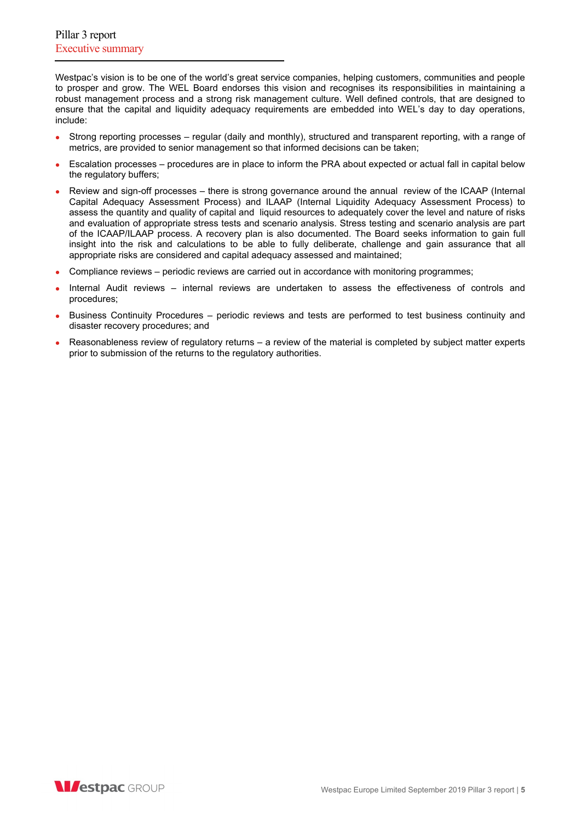Westpac's vision is to be one of the world's great service companies, helping customers, communities and people to prosper and grow. The WEL Board endorses this vision and recognises its responsibilities in maintaining a robust management process and a strong risk management culture. Well defined controls, that are designed to ensure that the capital and liquidity adequacy requirements are embedded into WEL's day to day operations, include:

- Strong reporting processes regular (daily and monthly), structured and transparent reporting, with a range of metrics, are provided to senior management so that informed decisions can be taken;
- Escalation processes procedures are in place to inform the PRA about expected or actual fall in capital below the regulatory buffers;
- Review and sign-off processes there is strong governance around the annual review of the ICAAP (Internal Capital Adequacy Assessment Process) and ILAAP (Internal Liquidity Adequacy Assessment Process) to assess the quantity and quality of capital and liquid resources to adequately cover the level and nature of risks and evaluation of appropriate stress tests and scenario analysis. Stress testing and scenario analysis are part of the ICAAP/ILAAP process. A recovery plan is also documented. The Board seeks information to gain full insight into the risk and calculations to be able to fully deliberate, challenge and gain assurance that all appropriate risks are considered and capital adequacy assessed and maintained;
- Compliance reviews periodic reviews are carried out in accordance with monitoring programmes;
- Internal Audit reviews internal reviews are undertaken to assess the effectiveness of controls and procedures;
- Business Continuity Procedures periodic reviews and tests are performed to test business continuity and disaster recovery procedures; and
- Reasonableness review of regulatory returns a review of the material is completed by subject matter experts prior to submission of the returns to the regulatory authorities.

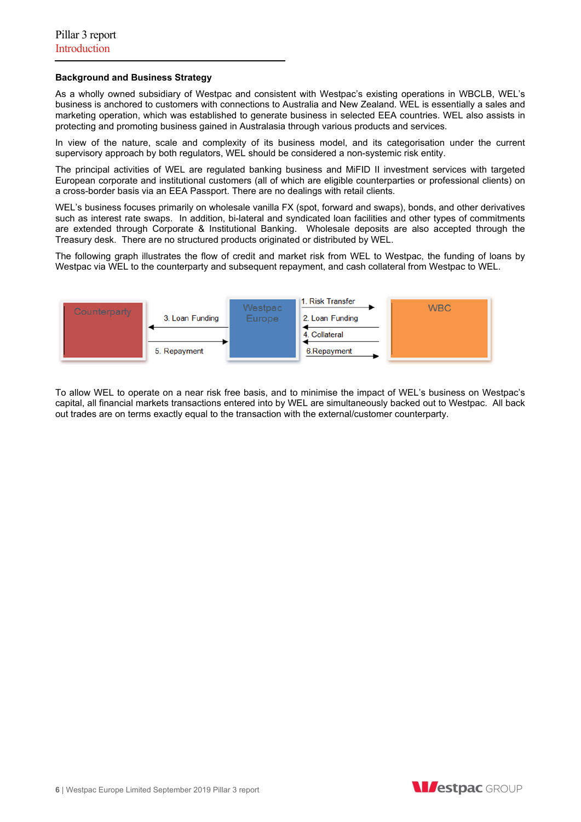## **Background and Business Strategy**

As a wholly owned subsidiary of Westpac and consistent with Westpac's existing operations in WBCLB, WEL's business is anchored to customers with connections to Australia and New Zealand. WEL is essentially a sales and marketing operation, which was established to generate business in selected EEA countries. WEL also assists in protecting and promoting business gained in Australasia through various products and services.

In view of the nature, scale and complexity of its business model, and its categorisation under the current supervisory approach by both regulators, WEL should be considered a non-systemic risk entity.

The principal activities of WEL are regulated banking business and MiFID II investment services with targeted European corporate and institutional customers (all of which are eligible counterparties or professional clients) on a cross-border basis via an EEA Passport. There are no dealings with retail clients.

WEL's business focuses primarily on wholesale vanilla FX (spot, forward and swaps), bonds, and other derivatives such as interest rate swaps. In addition, bi-lateral and syndicated loan facilities and other types of commitments are extended through Corporate & Institutional Banking. Wholesale deposits are also accepted through the Treasury desk. There are no structured products originated or distributed by WEL.

The following graph illustrates the flow of credit and market risk from WEL to Westpac, the funding of loans by Westpac via WEL to the counterparty and subsequent repayment, and cash collateral from Westpac to WEL.



To allow WEL to operate on a near risk free basis, and to minimise the impact of WEL's business on Westpac's capital, all financial markets transactions entered into by WEL are simultaneously backed out to Westpac. All back out trades are on terms exactly equal to the transaction with the external/customer counterparty.

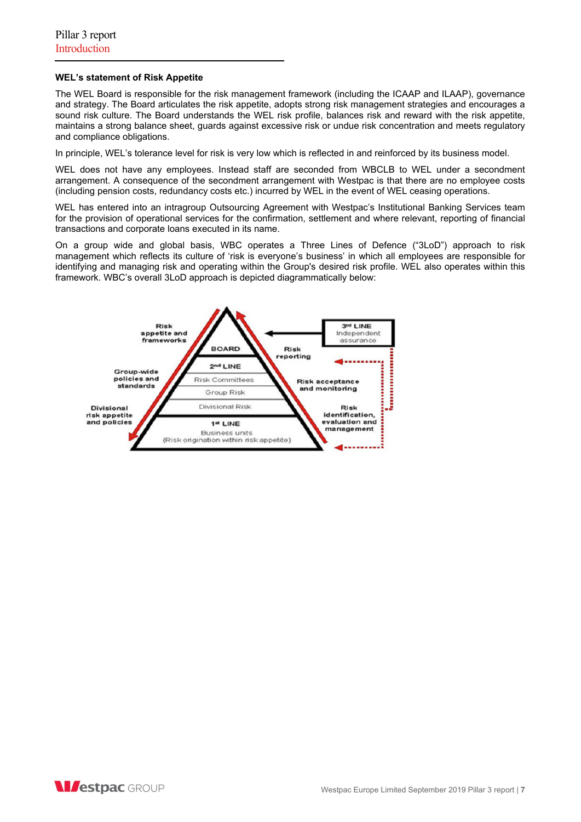## **WEL's statement of Risk Appetite**

The WEL Board is responsible for the risk management framework (including the ICAAP and ILAAP), governance and strategy. The Board articulates the risk appetite, adopts strong risk management strategies and encourages a sound risk culture. The Board understands the WEL risk profile, balances risk and reward with the risk appetite, maintains a strong balance sheet, guards against excessive risk or undue risk concentration and meets regulatory and compliance obligations.

In principle, WEL's tolerance level for risk is very low which is reflected in and reinforced by its business model.

WEL does not have any employees. Instead staff are seconded from WBCLB to WEL under a secondment arrangement. A consequence of the secondment arrangement with Westpac is that there are no employee costs (including pension costs, redundancy costs etc.) incurred by WEL in the event of WEL ceasing operations.

WEL has entered into an intragroup Outsourcing Agreement with Westpac's Institutional Banking Services team for the provision of operational services for the confirmation, settlement and where relevant, reporting of financial transactions and corporate loans executed in its name.

On a group wide and global basis, WBC operates a Three Lines of Defence ("3LoD") approach to risk management which reflects its culture of 'risk is everyone's business' in which all employees are responsible for identifying and managing risk and operating within the Group's desired risk profile. WEL also operates within this framework. WBC's overall 3LoD approach is depicted diagrammatically below:



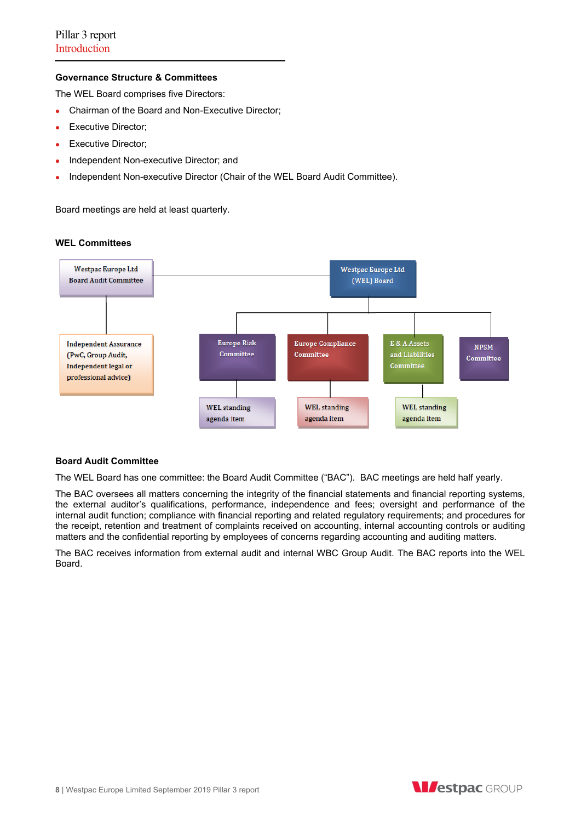## **Governance Structure & Committees**

The WEL Board comprises five Directors:

- Chairman of the Board and Non-Executive Director;
- **Executive Director;**
- Executive Director;
- Independent Non-executive Director; and
- Independent Non-executive Director (Chair of the WEL Board Audit Committee).

Board meetings are held at least quarterly.



## **WEL Committees**

## **Board Audit Committee**

The WEL Board has one committee: the Board Audit Committee ("BAC"). BAC meetings are held half yearly.

The BAC oversees all matters concerning the integrity of the financial statements and financial reporting systems, the external auditor's qualifications, performance, independence and fees; oversight and performance of the internal audit function; compliance with financial reporting and related regulatory requirements; and procedures for the receipt, retention and treatment of complaints received on accounting, internal accounting controls or auditing matters and the confidential reporting by employees of concerns regarding accounting and auditing matters.

The BAC receives information from external audit and internal WBC Group Audit. The BAC reports into the WEL Board.

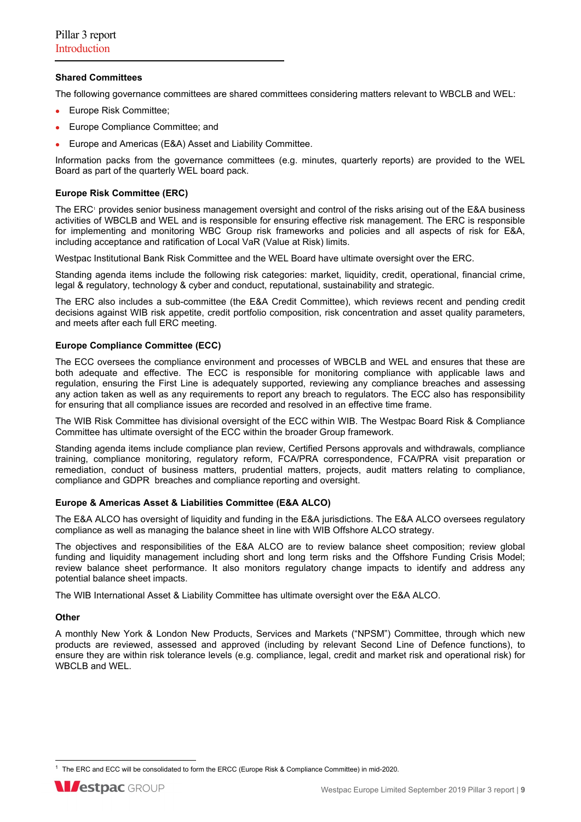## **Shared Committees**

The following governance committees are shared committees considering matters relevant to WBCLB and WEL:

- Europe Risk Committee;
- **Europe Compliance Committee; and**
- Europe and Americas (E&A) Asset and Liability Committee.

Information packs from the governance committees (e.g. minutes, quarterly reports) are provided to the WEL Board as part of the quarterly WEL board pack.

## **Europe Risk Committee (ERC)**

The ERC<sup>,</sup> provides senior business management oversight and control of the risks arising out of the E&A business activities of WBCLB and WEL and is responsible for ensuring effective risk management. The ERC is responsible for implementing and monitoring WBC Group risk frameworks and policies and all aspects of risk for E&A, including acceptance and ratification of Local VaR (Value at Risk) limits.

Westpac Institutional Bank Risk Committee and the WEL Board have ultimate oversight over the ERC.

Standing agenda items include the following risk categories: market, liquidity, credit, operational, financial crime, legal & regulatory, technology & cyber and conduct, reputational, sustainability and strategic.

The ERC also includes a sub-committee (the E&A Credit Committee), which reviews recent and pending credit decisions against WIB risk appetite, credit portfolio composition, risk concentration and asset quality parameters, and meets after each full ERC meeting.

## **Europe Compliance Committee (ECC)**

The ECC oversees the compliance environment and processes of WBCLB and WEL and ensures that these are both adequate and effective. The ECC is responsible for monitoring compliance with applicable laws and regulation, ensuring the First Line is adequately supported, reviewing any compliance breaches and assessing any action taken as well as any requirements to report any breach to regulators. The ECC also has responsibility for ensuring that all compliance issues are recorded and resolved in an effective time frame.

The WIB Risk Committee has divisional oversight of the ECC within WIB. The Westpac Board Risk & Compliance Committee has ultimate oversight of the ECC within the broader Group framework.

Standing agenda items include compliance plan review, Certified Persons approvals and withdrawals, compliance training, compliance monitoring, regulatory reform, FCA/PRA correspondence, FCA/PRA visit preparation or remediation, conduct of business matters, prudential matters, projects, audit matters relating to compliance, compliance and GDPR breaches and compliance reporting and oversight.

## **Europe & Americas Asset & Liabilities Committee (E&A ALCO)**

The E&A ALCO has oversight of liquidity and funding in the E&A jurisdictions. The E&A ALCO oversees regulatory compliance as well as managing the balance sheet in line with WIB Offshore ALCO strategy.

The objectives and responsibilities of the E&A ALCO are to review balance sheet composition; review global funding and liquidity management including short and long term risks and the Offshore Funding Crisis Model; review balance sheet performance. It also monitors regulatory change impacts to identify and address any potential balance sheet impacts.

The WIB International Asset & Liability Committee has ultimate oversight over the E&A ALCO.

## **Other**

A monthly New York & London New Products, Services and Markets ("NPSM") Committee, through which new products are reviewed, assessed and approved (including by relevant Second Line of Defence functions), to ensure they are within risk tolerance levels (e.g. compliance, legal, credit and market risk and operational risk) for WBCLB and WEL.

<sup>&</sup>lt;sup>1</sup> The ERC and ECC will be consolidated to form the ERCC (Europe Risk & Compliance Committee) in mid-2020.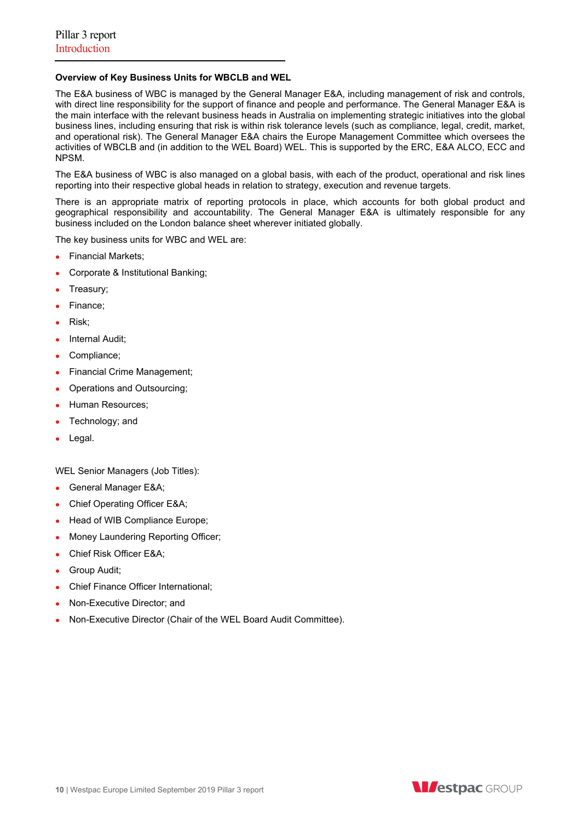## **Overview of Key Business Units for WBCLB and WEL**

The E&A business of WBC is managed by the General Manager E&A, including management of risk and controls, with direct line responsibility for the support of finance and people and performance. The General Manager E&A is the main interface with the relevant business heads in Australia on implementing strategic initiatives into the global business lines, including ensuring that risk is within risk tolerance levels (such as compliance, legal, credit, market, and operational risk). The General Manager E&A chairs the Europe Management Committee which oversees the activities of WBCLB and (in addition to the WEL Board) WEL. This is supported by the ERC, E&A ALCO, ECC and NPSM.

The E&A business of WBC is also managed on a global basis, with each of the product, operational and risk lines reporting into their respective global heads in relation to strategy, execution and revenue targets.

There is an appropriate matrix of reporting protocols in place, which accounts for both global product and geographical responsibility and accountability. The General Manager E&A is ultimately responsible for any business included on the London balance sheet wherever initiated globally.

The key business units for WBC and WEL are:

- Financial Markets:
- Corporate & Institutional Banking;
- Treasury;
- Finance;
- Risk;
- Internal Audit;
- Compliance;
- Financial Crime Management;
- Operations and Outsourcing;
- Human Resources;
- Technology; and
- Legal.

WEL Senior Managers (Job Titles):

- General Manager E&A;
- Chief Operating Officer E&A;
- Head of WIB Compliance Europe;
- Money Laundering Reporting Officer;
- Chief Risk Officer E&A;
- Group Audit;
- Chief Finance Officer International;
- Non-Executive Director; and
- Non-Executive Director (Chair of the WEL Board Audit Committee).

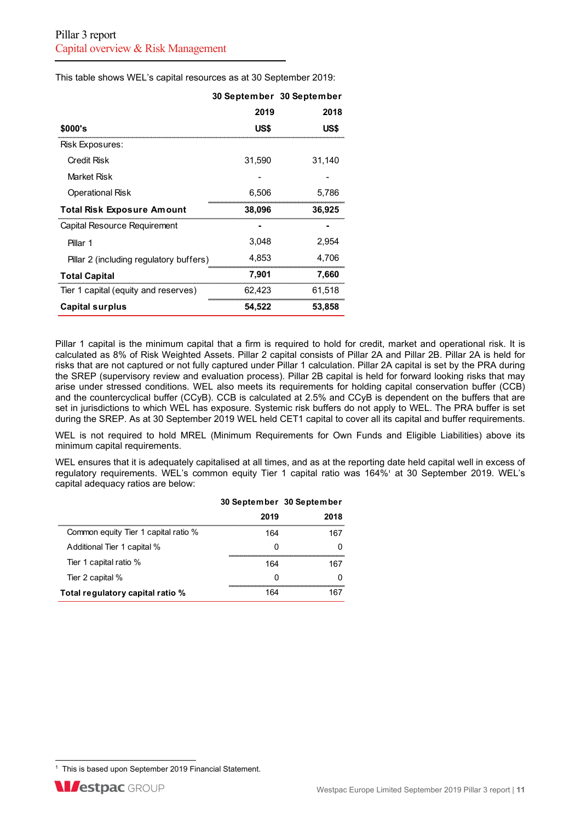This table shows WEL's capital resources as at 30 September 2019:

|                                         |        | 30 September 30 September |
|-----------------------------------------|--------|---------------------------|
|                                         | 2019   | 2018                      |
| \$000's                                 | US\$   | US\$                      |
| Risk Exposures:                         |        |                           |
| Credit Risk                             | 31.590 | 31.140                    |
| Market Risk                             |        |                           |
| <b>Operational Risk</b>                 | 6,506  | 5,786                     |
| <b>Total Risk Exposure Amount</b>       | 38,096 | 36,925                    |
| Capital Resource Requirement            |        |                           |
| Pillar 1                                | 3.048  | 2.954                     |
| Pillar 2 (including regulatory buffers) | 4.853  | 4,706                     |
| <b>Total Capital</b>                    | 7,901  | 7,660                     |
| Tier 1 capital (equity and reserves)    | 62.423 | 61.518                    |
| <b>Capital surplus</b>                  | 54,522 | 53,858                    |

Pillar 1 capital is the minimum capital that a firm is required to hold for credit, market and operational risk. It is calculated as 8% of Risk Weighted Assets. Pillar 2 capital consists of Pillar 2A and Pillar 2B. Pillar 2A is held for risks that are not captured or not fully captured under Pillar 1 calculation. Pillar 2A capital is set by the PRA during the SREP (supervisory review and evaluation process). Pillar 2B capital is held for forward looking risks that may arise under stressed conditions. WEL also meets its requirements for holding capital conservation buffer (CCB) and the countercyclical buffer (CCyB). CCB is calculated at 2.5% and CCyB is dependent on the buffers that are set in jurisdictions to which WEL has exposure. Systemic risk buffers do not apply to WEL. The PRA buffer is set during the SREP. As at 30 September 2019 WEL held CET1 capital to cover all its capital and buffer requirements.

WEL is not required to hold MREL (Minimum Requirements for Own Funds and Eligible Liabilities) above its minimum capital requirements.

WEL ensures that it is adequately capitalised at all times, and as at the reporting date held capital well in excess of regulatory requirements. WEL's common equity Tier 1 capital ratio was 164%<sup>1</sup> at 30 September 2019. WEL's capital adequacy ratios are below:

|                                      | 30 September 30 September |      |
|--------------------------------------|---------------------------|------|
|                                      | 2019                      | 2018 |
| Common equity Tier 1 capital ratio % | 164                       | 167  |
| Additional Tier 1 capital %          |                           |      |
| Tier 1 capital ratio %               | 164                       | 167  |
| Tier 2 capital %                     |                           |      |
| Total regulatory capital ratio %     |                           |      |

<sup>&</sup>lt;sup>1</sup> This is based upon September 2019 Financial Statement.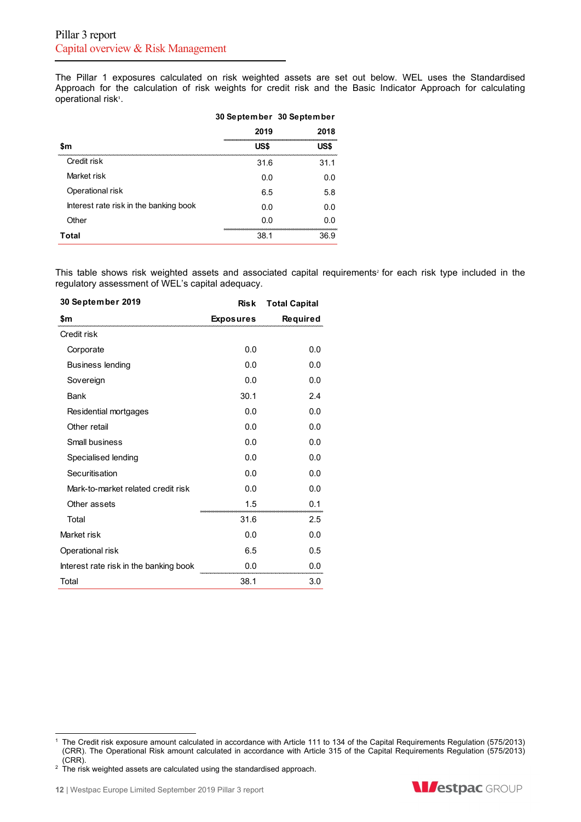The Pillar 1 exposures calculated on risk weighted assets are set out below. WEL uses the Standardised Approach for the calculation of risk weights for credit risk and the Basic Indicator Approach for calculating operational risk<sup>1</sup>.

|                                        | 30 September 30 September |      |
|----------------------------------------|---------------------------|------|
|                                        | 2019                      | 2018 |
| \$m                                    | US\$                      | US\$ |
| Credit risk                            | 31.6                      | 31.1 |
| Market risk                            | 0.O                       | 0.O  |
| Operational risk                       | 6.5                       | 5.8  |
| Interest rate risk in the banking book | 0.O                       | 0.O  |
| Other                                  | 0.O                       | 0.O  |
| Total                                  | 38.1                      | 36.9 |

This table shows risk weighted assets and associated capital requirements<sup>2</sup> for each risk type included in the regulatory assessment of WEL's capital adequacy.

| 30 September 2019                      | <b>Risk</b>      | <b>Total Capital</b> |
|----------------------------------------|------------------|----------------------|
| \$m                                    | <b>Exposures</b> | Required             |
| Credit risk                            |                  |                      |
| Corporate                              | 0.0              | 0.0                  |
| <b>Business lending</b>                | 0.0              | 0.0                  |
| Sovereign                              | 0.0              | 0.0                  |
| Bank                                   | 30.1             | 2.4                  |
| Residential mortgages                  | 0.0              | 0.0                  |
| Other retail                           | 0.0              | 0.0                  |
| Small business                         | 0.0              | 0.0                  |
| Specialised lending                    | 0.0              | 0.0                  |
| Securitisation                         | 0.0              | 0.0                  |
| Mark-to-market related credit risk     | 0.0              | 0.0                  |
| Other assets                           | 1.5              | 0.1                  |
| Total                                  | 31.6             | 2.5                  |
| Market risk                            | 0.0              | 0.0                  |
| Operational risk                       | 6.5              | 0.5                  |
| Interest rate risk in the banking book | 0.0              | 0.0                  |
| Total                                  | 38.1             | 3.0                  |



<sup>&</sup>lt;sup>1</sup> The Credit risk exposure amount calculated in accordance with Article 111 to 134 of the Capital Requirements Regulation (575/2013) (CRR). The Operational Risk amount calculated in accordance with Article 315 of the Capital Requirements Regulation (575/2013) (CRR).

 $2$  The risk weighted assets are calculated using the standardised approach.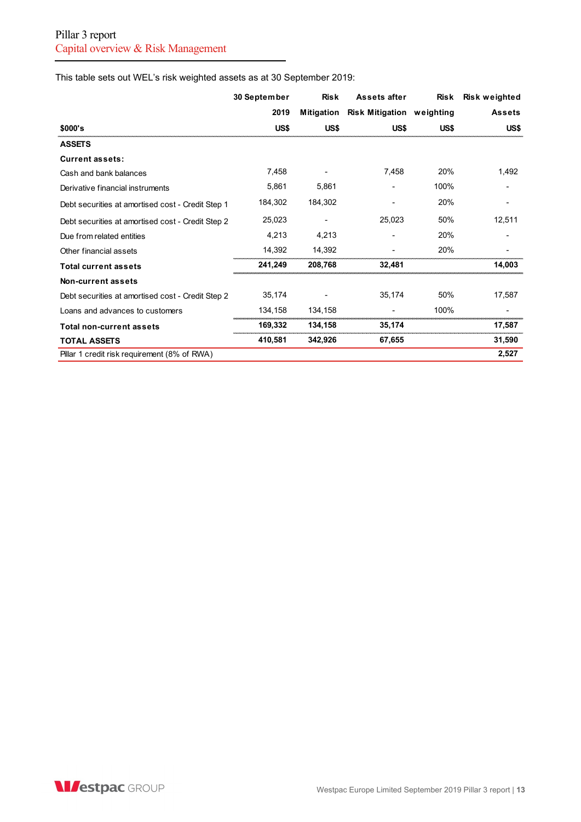This table sets out WEL's risk weighted assets as at 30 September 2019:

|                                                   | 30 September | <b>Risk</b> | Assets after                     | <b>Risk</b> | Risk weighted |
|---------------------------------------------------|--------------|-------------|----------------------------------|-------------|---------------|
|                                                   | 2019         | Mitigation  | <b>Risk Mitigation weighting</b> |             | Assets        |
| \$000's                                           | US\$         | US\$        | US\$                             | US\$        | US\$          |
| <b>ASSETS</b>                                     |              |             |                                  |             |               |
| <b>Current assets:</b>                            |              |             |                                  |             |               |
| Cash and bank balances                            | 7,458        |             | 7,458                            | 20%         | 1,492         |
| Derivative financial instruments                  | 5,861        | 5,861       |                                  | 100%        |               |
| Debt securities at amortised cost - Credit Step 1 | 184,302      | 184,302     |                                  | 20%         |               |
| Debt securities at amortised cost - Credit Step 2 | 25,023       |             | 25,023                           | 50%         | 12,511        |
| Due from related entities                         | 4,213        | 4,213       |                                  | 20%         |               |
| Other financial assets                            | 14,392       | 14,392      |                                  | 20%         |               |
| <b>Total current assets</b>                       | 241,249      | 208,768     | 32,481                           |             | 14,003        |
| Non-current assets                                |              |             |                                  |             |               |
| Debt securities at amortised cost - Credit Step 2 | 35,174       |             | 35,174                           | 50%         | 17,587        |
| Loans and advances to customers                   | 134,158      | 134,158     |                                  | 100%        |               |
| <b>Total non-current assets</b>                   | 169,332      | 134,158     | 35,174                           |             | 17,587        |
| <b>TOTAL ASSETS</b>                               | 410,581      | 342,926     | 67,655                           |             | 31,590        |
| Pillar 1 credit risk requirement (8% of RWA)      |              |             |                                  |             | 2,527         |

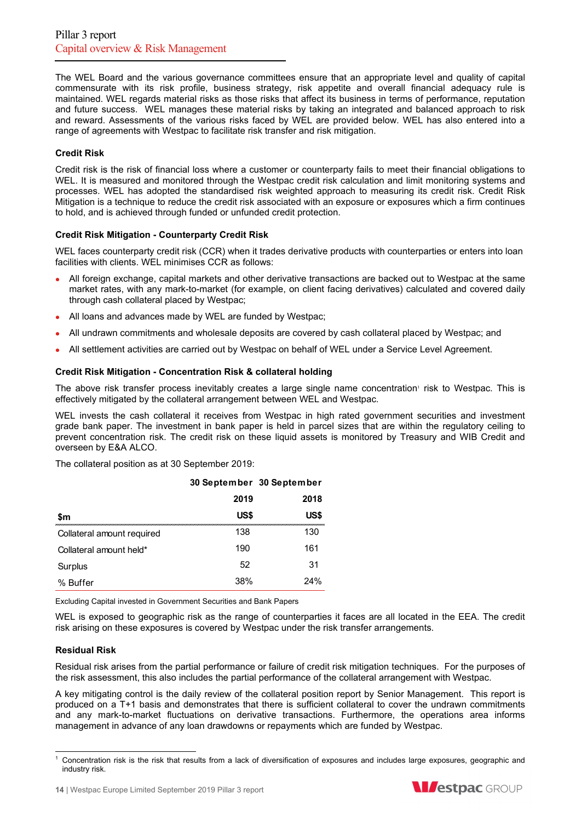The WEL Board and the various governance committees ensure that an appropriate level and quality of capital commensurate with its risk profile, business strategy, risk appetite and overall financial adequacy rule is maintained. WEL regards material risks as those risks that affect its business in terms of performance, reputation and future success. WEL manages these material risks by taking an integrated and balanced approach to risk and reward. Assessments of the various risks faced by WEL are provided below. WEL has also entered into a range of agreements with Westpac to facilitate risk transfer and risk mitigation.

## **Credit Risk**

Credit risk is the risk of financial loss where a customer or counterparty fails to meet their financial obligations to WEL. It is measured and monitored through the Westpac credit risk calculation and limit monitoring systems and processes. WEL has adopted the standardised risk weighted approach to measuring its credit risk. Credit Risk Mitigation is a technique to reduce the credit risk associated with an exposure or exposures which a firm continues to hold, and is achieved through funded or unfunded credit protection.

## **Credit Risk Mitigation - Counterparty Credit Risk**

WEL faces counterparty credit risk (CCR) when it trades derivative products with counterparties or enters into loan facilities with clients. WEL minimises CCR as follows:

- All foreign exchange, capital markets and other derivative transactions are backed out to Westpac at the same market rates, with any mark-to-market (for example, on client facing derivatives) calculated and covered daily through cash collateral placed by Westpac;
- All loans and advances made by WEL are funded by Westpac;
- All undrawn commitments and wholesale deposits are covered by cash collateral placed by Westpac; and
- All settlement activities are carried out by Westpac on behalf of WEL under a Service Level Agreement.

## **Credit Risk Mitigation - Concentration Risk & collateral holding**

The above risk transfer process inevitably creates a large single name concentration' risk to Westpac. This is effectively mitigated by the collateral arrangement between WEL and Westpac.

WEL invests the cash collateral it receives from Westpac in high rated government securities and investment grade bank paper. The investment in bank paper is held in parcel sizes that are within the regulatory ceiling to prevent concentration risk. The credit risk on these liquid assets is monitored by Treasury and WIB Credit and overseen by E&A ALCO.

The collateral position as at 30 September 2019:

|                            | 30 September 30 September |      |  |
|----------------------------|---------------------------|------|--|
|                            | 2019                      | 2018 |  |
| \$m                        | US\$                      | US\$ |  |
| Collateral amount required | 138                       | 130  |  |
| Collateral amount held*    | 190                       | 161  |  |
| Surplus                    | 52                        | 31   |  |
| % Buffer                   | 38%                       | 24%  |  |

Excluding Capital invested in Government Securities and Bank Papers

WEL is exposed to geographic risk as the range of counterparties it faces are all located in the EEA. The credit risk arising on these exposures is covered by Westpac under the risk transfer arrangements.

## **Residual Risk**

Residual risk arises from the partial performance or failure of credit risk mitigation techniques. For the purposes of the risk assessment, this also includes the partial performance of the collateral arrangement with Westpac.

A key mitigating control is the daily review of the collateral position report by Senior Management. This report is produced on a T+1 basis and demonstrates that there is sufficient collateral to cover the undrawn commitments and any mark-to-market fluctuations on derivative transactions. Furthermore, the operations area informs management in advance of any loan drawdowns or repayments which are funded by Westpac.



<sup>1</sup> Concentration risk is the risk that results from a lack of diversification of exposures and includes large exposures, geographic and industry risk.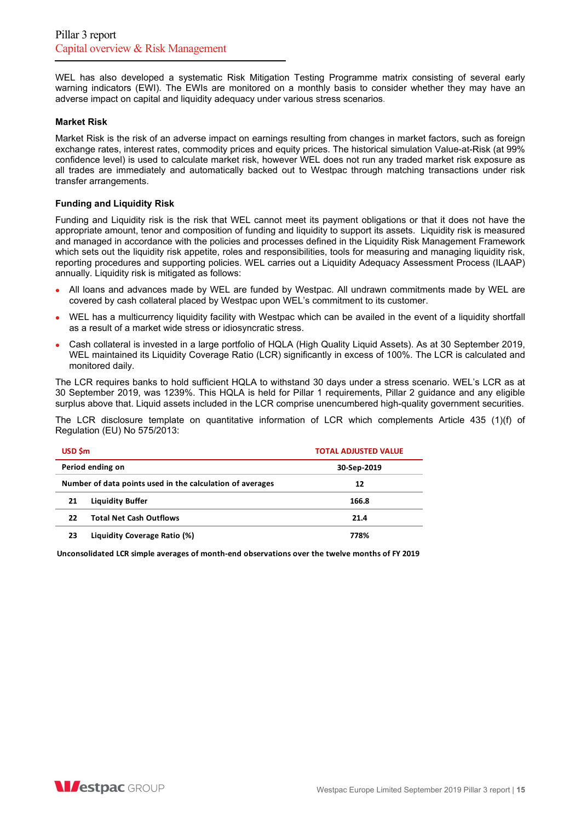WEL has also developed a systematic Risk Mitigation Testing Programme matrix consisting of several early warning indicators (EWI). The EWIs are monitored on a monthly basis to consider whether they may have an adverse impact on capital and liquidity adequacy under various stress scenarios.

## **Market Risk**

Market Risk is the risk of an adverse impact on earnings resulting from changes in market factors, such as foreign exchange rates, interest rates, commodity prices and equity prices. The historical simulation Value-at-Risk (at 99% confidence level) is used to calculate market risk, however WEL does not run any traded market risk exposure as all trades are immediately and automatically backed out to Westpac through matching transactions under risk transfer arrangements.

## **Funding and Liquidity Risk**

Funding and Liquidity risk is the risk that WEL cannot meet its payment obligations or that it does not have the appropriate amount, tenor and composition of funding and liquidity to support its assets. Liquidity risk is measured and managed in accordance with the policies and processes defined in the Liquidity Risk Management Framework which sets out the liquidity risk appetite, roles and responsibilities, tools for measuring and managing liquidity risk, reporting procedures and supporting policies. WEL carries out a Liquidity Adequacy Assessment Process (ILAAP) annually. Liquidity risk is mitigated as follows:

- All loans and advances made by WEL are funded by Westpac. All undrawn commitments made by WEL are covered by cash collateral placed by Westpac upon WEL's commitment to its customer.
- WEL has a multicurrency liquidity facility with Westpac which can be availed in the event of a liquidity shortfall as a result of a market wide stress or idiosyncratic stress.
- Cash collateral is invested in a large portfolio of HQLA (High Quality Liquid Assets). As at 30 September 2019, WEL maintained its Liquidity Coverage Ratio (LCR) significantly in excess of 100%. The LCR is calculated and monitored daily.

The LCR requires banks to hold sufficient HQLA to withstand 30 days under a stress scenario. WEL's LCR as at 30 September 2019, was 1239%. This HQLA is held for Pillar 1 requirements, Pillar 2 guidance and any eligible surplus above that. Liquid assets included in the LCR comprise unencumbered high-quality government securities.

The LCR disclosure template on quantitative information of LCR which complements Article 435 (1)(f) of Regulation (EU) No 575/2013:

| USD \$m |                                                           | <b>TOTAL ADJUSTED VALUE</b> |
|---------|-----------------------------------------------------------|-----------------------------|
|         | Period ending on                                          | 30-Sep-2019                 |
|         | Number of data points used in the calculation of averages | 12                          |
| 21      | Liquidity Buffer                                          | 166.8                       |
| 22      | <b>Total Net Cash Outflows</b>                            | 21.4                        |
| 23      | Liquidity Coverage Ratio (%)                              | 778%                        |

**Unconsolidated LCR simple averages of month‐end observations over the twelve months of FY 2019**

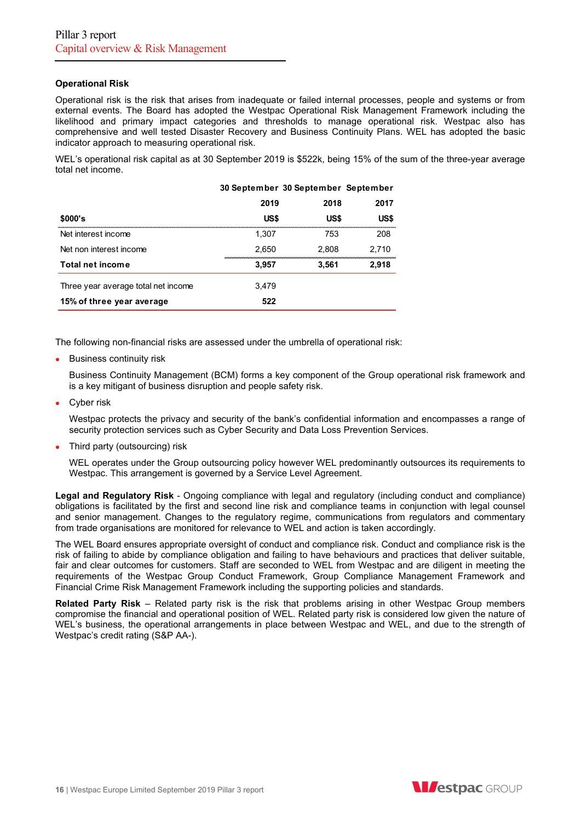## **Operational Risk**

Operational risk is the risk that arises from inadequate or failed internal processes, people and systems or from external events. The Board has adopted the Westpac Operational Risk Management Framework including the likelihood and primary impact categories and thresholds to manage operational risk. Westpac also has comprehensive and well tested Disaster Recovery and Business Continuity Plans. WEL has adopted the basic indicator approach to measuring operational risk.

WEL's operational risk capital as at 30 September 2019 is \$522k, being 15% of the sum of the three-year average total net income.

|                                     | 30 September 30 September September |       |       |
|-------------------------------------|-------------------------------------|-------|-------|
|                                     | 2019                                | 2018  | 2017  |
| \$000's                             | US\$                                | US\$  | US\$  |
| Net interest income                 | 1.307                               | 753   | 208   |
| Net non interest income             | 2.650                               | 2.808 | 2.710 |
| Total net income                    | 3,957                               | 3,561 | 2,918 |
| Three year average total net income | 3.479                               |       |       |
| 15% of three year average           | 522                                 |       |       |

The following non-financial risks are assessed under the umbrella of operational risk:

**Business continuity risk** 

Business Continuity Management (BCM) forms a key component of the Group operational risk framework and is a key mitigant of business disruption and people safety risk.

Cyber risk

Westpac protects the privacy and security of the bank's confidential information and encompasses a range of security protection services such as Cyber Security and Data Loss Prevention Services.

Third party (outsourcing) risk

WEL operates under the Group outsourcing policy however WEL predominantly outsources its requirements to Westpac. This arrangement is governed by a Service Level Agreement.

**Legal and Regulatory Risk** - Ongoing compliance with legal and regulatory (including conduct and compliance) obligations is facilitated by the first and second line risk and compliance teams in conjunction with legal counsel and senior management. Changes to the regulatory regime, communications from regulators and commentary from trade organisations are monitored for relevance to WEL and action is taken accordingly.

The WEL Board ensures appropriate oversight of conduct and compliance risk. Conduct and compliance risk is the risk of failing to abide by compliance obligation and failing to have behaviours and practices that deliver suitable, fair and clear outcomes for customers. Staff are seconded to WEL from Westpac and are diligent in meeting the requirements of the Westpac Group Conduct Framework, Group Compliance Management Framework and Financial Crime Risk Management Framework including the supporting policies and standards.

**Related Party Risk** – Related party risk is the risk that problems arising in other Westpac Group members compromise the financial and operational position of WEL. Related party risk is considered low given the nature of WEL's business, the operational arrangements in place between Westpac and WEL, and due to the strength of Westpac's credit rating (S&P AA-).

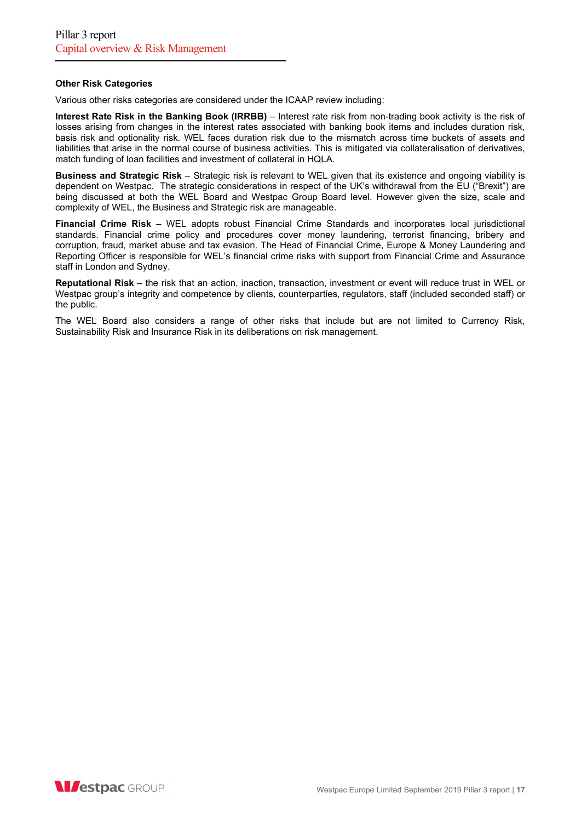#### **Other Risk Categories**

Various other risks categories are considered under the ICAAP review including:

**Interest Rate Risk in the Banking Book (IRRBB)** – Interest rate risk from non-trading book activity is the risk of losses arising from changes in the interest rates associated with banking book items and includes duration risk, basis risk and optionality risk. WEL faces duration risk due to the mismatch across time buckets of assets and liabilities that arise in the normal course of business activities. This is mitigated via collateralisation of derivatives, match funding of loan facilities and investment of collateral in HQLA.

**Business and Strategic Risk** – Strategic risk is relevant to WEL given that its existence and ongoing viability is dependent on Westpac. The strategic considerations in respect of the UK's withdrawal from the EU ("Brexit") are being discussed at both the WEL Board and Westpac Group Board level. However given the size, scale and complexity of WEL, the Business and Strategic risk are manageable.

**Financial Crime Risk** – WEL adopts robust Financial Crime Standards and incorporates local jurisdictional standards. Financial crime policy and procedures cover money laundering, terrorist financing, bribery and corruption, fraud, market abuse and tax evasion. The Head of Financial Crime, Europe & Money Laundering and Reporting Officer is responsible for WEL's financial crime risks with support from Financial Crime and Assurance staff in London and Sydney.

**Reputational Risk** – the risk that an action, inaction, transaction, investment or event will reduce trust in WEL or Westpac group's integrity and competence by clients, counterparties, regulators, staff (included seconded staff) or the public.

The WEL Board also considers a range of other risks that include but are not limited to Currency Risk, Sustainability Risk and Insurance Risk in its deliberations on risk management.

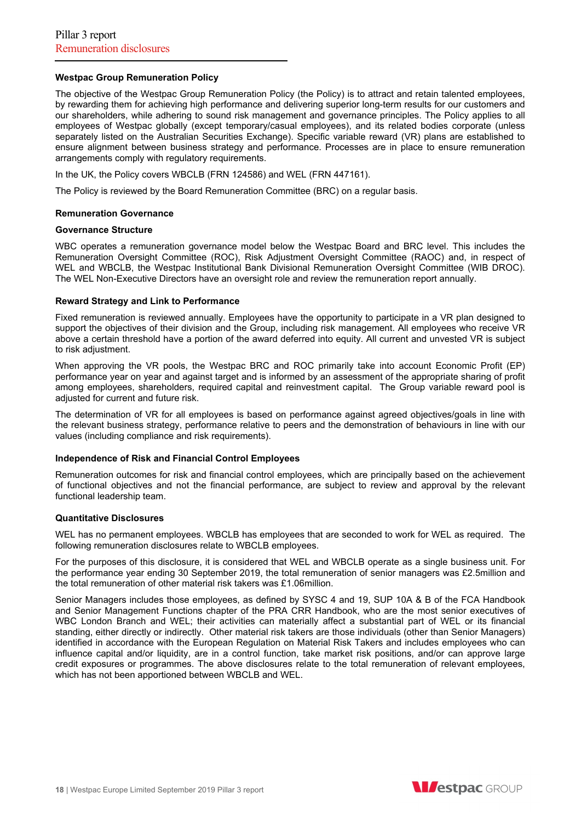## **Westpac Group Remuneration Policy**

The objective of the Westpac Group Remuneration Policy (the Policy) is to attract and retain talented employees, by rewarding them for achieving high performance and delivering superior long-term results for our customers and our shareholders, while adhering to sound risk management and governance principles. The Policy applies to all employees of Westpac globally (except temporary/casual employees), and its related bodies corporate (unless separately listed on the Australian Securities Exchange). Specific variable reward (VR) plans are established to ensure alignment between business strategy and performance. Processes are in place to ensure remuneration arrangements comply with regulatory requirements.

In the UK, the Policy covers WBCLB (FRN 124586) and WEL (FRN 447161).

The Policy is reviewed by the Board Remuneration Committee (BRC) on a regular basis.

#### **Remuneration Governance**

#### **Governance Structure**

WBC operates a remuneration governance model below the Westpac Board and BRC level. This includes the Remuneration Oversight Committee (ROC), Risk Adjustment Oversight Committee (RAOC) and, in respect of WEL and WBCLB, the Westpac Institutional Bank Divisional Remuneration Oversight Committee (WIB DROC). The WEL Non-Executive Directors have an oversight role and review the remuneration report annually.

#### **Reward Strategy and Link to Performance**

Fixed remuneration is reviewed annually. Employees have the opportunity to participate in a VR plan designed to support the objectives of their division and the Group, including risk management. All employees who receive VR above a certain threshold have a portion of the award deferred into equity. All current and unvested VR is subject to risk adjustment.

When approving the VR pools, the Westpac BRC and ROC primarily take into account Economic Profit (EP) performance year on year and against target and is informed by an assessment of the appropriate sharing of profit among employees, shareholders, required capital and reinvestment capital. The Group variable reward pool is adjusted for current and future risk.

The determination of VR for all employees is based on performance against agreed objectives/goals in line with the relevant business strategy, performance relative to peers and the demonstration of behaviours in line with our values (including compliance and risk requirements).

## **Independence of Risk and Financial Control Employees**

Remuneration outcomes for risk and financial control employees, which are principally based on the achievement of functional objectives and not the financial performance, are subject to review and approval by the relevant functional leadership team.

## **Quantitative Disclosures**

WEL has no permanent employees. WBCLB has employees that are seconded to work for WEL as required. The following remuneration disclosures relate to WBCLB employees.

For the purposes of this disclosure, it is considered that WEL and WBCLB operate as a single business unit. For the performance year ending 30 September 2019, the total remuneration of senior managers was £2.5million and the total remuneration of other material risk takers was £1.06million.

Senior Managers includes those employees, as defined by SYSC 4 and 19, SUP 10A & B of the FCA Handbook and Senior Management Functions chapter of the PRA CRR Handbook, who are the most senior executives of WBC London Branch and WEL; their activities can materially affect a substantial part of WEL or its financial standing, either directly or indirectly. Other material risk takers are those individuals (other than Senior Managers) identified in accordance with the European Regulation on Material Risk Takers and includes employees who can influence capital and/or liquidity, are in a control function, take market risk positions, and/or can approve large credit exposures or programmes. The above disclosures relate to the total remuneration of relevant employees, which has not been apportioned between WBCLB and WEL.

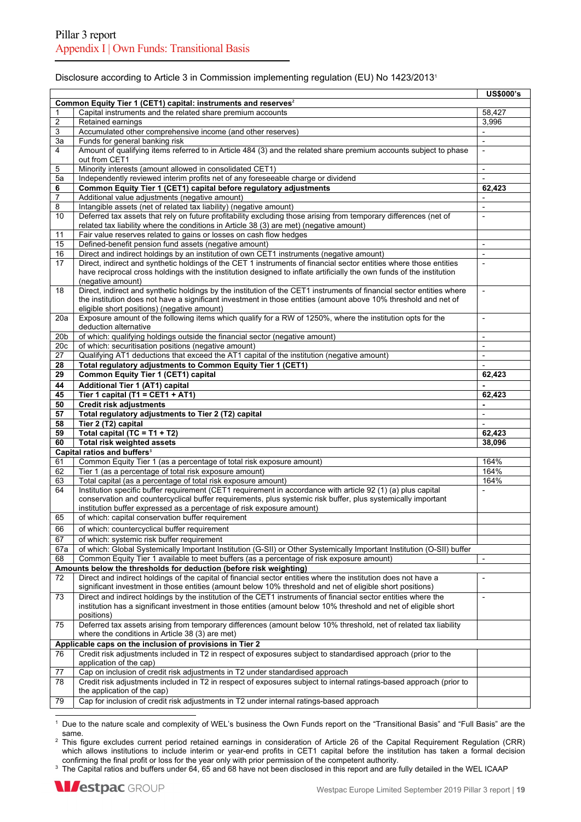#### Disclosure according to Article 3 in Commission implementing regulation (EU) No 1423/20131

|                         |                                                                                                                                                    | <b>US\$000's</b>         |
|-------------------------|----------------------------------------------------------------------------------------------------------------------------------------------------|--------------------------|
|                         | Common Equity Tier 1 (CET1) capital: instruments and reserves <sup>2</sup>                                                                         |                          |
| 1                       | Capital instruments and the related share premium accounts                                                                                         | 58,427                   |
| $\overline{\mathbf{c}}$ | Retained earnings                                                                                                                                  | 3,996                    |
| 3                       | Accumulated other comprehensive income (and other reserves)                                                                                        |                          |
| За                      | Funds for general banking risk                                                                                                                     |                          |
| $\overline{4}$          | Amount of qualifying items referred to in Article 484 (3) and the related share premium accounts subject to phase                                  | $\overline{a}$           |
|                         | out from CET1                                                                                                                                      |                          |
| 5                       | Minority interests (amount allowed in consolidated CET1)                                                                                           |                          |
| 5a                      | Independently reviewed interim profits net of any foreseeable charge or dividend                                                                   |                          |
| 6                       | Common Equity Tier 1 (CET1) capital before regulatory adjustments                                                                                  | 62,423                   |
| $\overline{7}$          | Additional value adjustments (negative amount)                                                                                                     |                          |
| 8                       | Intangible assets (net of related tax liability) (negative amount)                                                                                 | $\overline{\phantom{a}}$ |
| 10                      | Deferred tax assets that rely on future profitability excluding those arising from temporary differences (net of                                   |                          |
|                         | related tax liability where the conditions in Article 38 (3) are met) (negative amount)                                                            |                          |
| 11                      | Fair value reserves related to gains or losses on cash flow hedges                                                                                 |                          |
| 15                      | Defined-benefit pension fund assets (negative amount)                                                                                              | $\blacksquare$           |
| 16                      | Direct and indirect holdings by an institution of own CET1 instruments (negative amount)                                                           | $\blacksquare$           |
| 17                      | Direct, indirect and synthetic holdings of the CET 1 instruments of financial sector entities where those entities                                 |                          |
|                         | have reciprocal cross holdings with the institution designed to inflate artificially the own funds of the institution                              |                          |
|                         | (negative amount)                                                                                                                                  |                          |
| 18                      | Direct, indirect and synthetic holdings by the institution of the CET1 instruments of financial sector entities where                              | $\blacksquare$           |
|                         | the institution does not have a significant investment in those entities (amount above 10% threshold and net of                                    |                          |
|                         | eligible short positions) (negative amount)                                                                                                        |                          |
| 20a                     | Exposure amount of the following items which qualify for a RW of 1250%, where the institution opts for the                                         | $\blacksquare$           |
|                         | deduction alternative                                                                                                                              |                          |
| 20 <sub>b</sub>         | of which: qualifying holdings outside the financial sector (negative amount)                                                                       | $\overline{a}$           |
| 20c                     | of which: securitisation positions (negative amount)                                                                                               |                          |
| 27                      | Qualifying AT1 deductions that exceed the AT1 capital of the institution (negative amount)                                                         | $\overline{\phantom{a}}$ |
| 28                      | Total regulatory adjustments to Common Equity Tier 1 (CET1)                                                                                        | $\overline{a}$           |
| 29                      | Common Equity Tier 1 (CET1) capital                                                                                                                | 62,423                   |
| 44                      | <b>Additional Tier 1 (AT1) capital</b>                                                                                                             |                          |
| 45                      | Tier 1 capital (T1 = CET1 + AT1)                                                                                                                   | 62,423                   |
| 50                      | <b>Credit risk adjustments</b>                                                                                                                     | $\blacksquare$           |
| 57                      | Total regulatory adjustments to Tier 2 (T2) capital                                                                                                | $\blacksquare$           |
| 58                      | Tier 2 (T2) capital                                                                                                                                | $\overline{a}$           |
| 59                      | Total capital (TC = $T1 + T2$ )                                                                                                                    | 62,423                   |
| 60                      | Total risk weighted assets                                                                                                                         | 38,096                   |
|                         | Capital ratios and buffers <sup>3</sup>                                                                                                            |                          |
| 61                      | Common Equity Tier 1 (as a percentage of total risk exposure amount)                                                                               | 164%                     |
| 62                      | Tier 1 (as a percentage of total risk exposure amount)                                                                                             | 164%                     |
| 63                      | Total capital (as a percentage of total risk exposure amount)                                                                                      | 164%                     |
| 64                      | Institution specific buffer requirement (CET1 requirement in accordance with article 92 (1) (a) plus capital                                       | $\overline{a}$           |
|                         | conservation and countercyclical buffer requirements, plus systemic risk buffer, plus systemically important                                       |                          |
|                         | institution buffer expressed as a percentage of risk exposure amount)                                                                              |                          |
| 65                      | of which: capital conservation buffer requirement                                                                                                  |                          |
| 66                      | of which: countercyclical buffer requirement                                                                                                       |                          |
| 67                      | of which: systemic risk buffer requirement                                                                                                         |                          |
| 67a                     | of which: Global Systemically Important Institution (G-SII) or Other Systemically Important Institution (O-SII) buffer                             |                          |
| 68                      | Common Equity Tier 1 available to meet buffers (as a percentage of risk exposure amount)                                                           | $\blacksquare$           |
|                         | Amounts below the thresholds for deduction (before risk weighting)                                                                                 |                          |
| 72                      | Direct and indirect holdings of the capital of financial sector entities where the institution does not have a                                     | $\blacksquare$           |
|                         | significant investment in those entities (amount below 10% threshold and net of eligible short positions)                                          |                          |
|                         | Direct and indirect holdings by the institution of the CET1 instruments of financial sector entities where the                                     |                          |
| 73                      | institution has a significant investment in those entities (amount below 10% threshold and net of eligible short                                   | $\overline{\phantom{a}}$ |
|                         | positions)                                                                                                                                         |                          |
| 75                      | Deferred tax assets arising from temporary differences (amount below 10% threshold, net of related tax liability                                   |                          |
|                         | where the conditions in Article 38 (3) are met)                                                                                                    |                          |
|                         |                                                                                                                                                    |                          |
|                         | Applicable caps on the inclusion of provisions in Tier 2                                                                                           |                          |
| 76                      | Credit risk adjustments included in T2 in respect of exposures subject to standardised approach (prior to the<br>application of the cap)           |                          |
| 77                      | Cap on inclusion of credit risk adjustments in T2 under standardised approach                                                                      |                          |
|                         |                                                                                                                                                    |                          |
| 78                      | Credit risk adjustments included in T2 in respect of exposures subject to internal ratings-based approach (prior to<br>the application of the cap) |                          |
|                         |                                                                                                                                                    |                          |
| 79                      | Cap for inclusion of credit risk adjustments in T2 under internal ratings-based approach                                                           |                          |

1 Due to the nature scale and complexity of WEL's business the Own Funds report on the "Transitional Basis" and "Full Basis" are the

same. 2 This figure excludes current period retained earnings in consideration of Article 26 of the Capital Requirement Regulation (CRR) which allows institutions to include interim or year-end profits in CET1 capital before the institution has taken a formal decision

confirming the final profit or loss for the year only with prior permission of the competent authority.<br>The Capital ratios and buffers under 64, 65 and 68 have not been disclosed in this report and are fully detailed in th